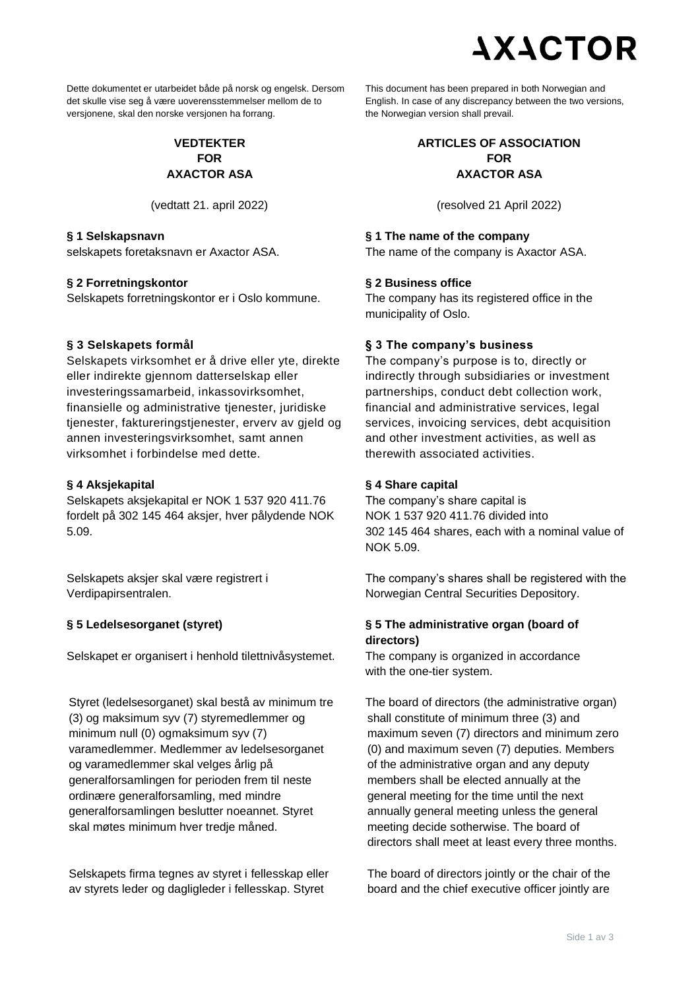# **AXACTOR**

Dette dokumentet er utarbeidet både på norsk og engelsk. Dersom det skulle vise seg å være uoverensstemmelser mellom de to versjonene, skal den norske versjonen ha forrang.

# **VEDTEKTER FOR AXACTOR ASA**

#### **§ 1 Selskapsnavn**

selskapets foretaksnavn er Axactor ASA.

#### **§ 2 Forretningskontor**

Selskapets forretningskontor er i Oslo kommune.

## **§ 3 Selskapets formål**

Selskapets virksomhet er å drive eller yte, direkte eller indirekte gjennom datterselskap eller investeringssamarbeid, inkassovirksomhet, finansielle og administrative tienester, juridiske tjenester, faktureringstjenester, erverv av gjeld og annen investeringsvirksomhet, samt annen virksomhet i forbindelse med dette.

## **§ 4 Aksjekapital**

Selskapets aksjekapital er NOK 1 537 920 411.76 fordelt på 302 145 464 aksjer, hver pålydende NOK 5.09.

Selskapets aksjer skal være registrert i Verdipapirsentralen.

## **§ 5 Ledelsesorganet (styret)**

Selskapet er organisert i henhold tilettnivåsystemet.

Styret (ledelsesorganet) skal bestå av minimum tre (3) og maksimum syv (7) styremedlemmer og minimum null (0) ogmaksimum syv (7) varamedlemmer. Medlemmer av ledelsesorganet og varamedlemmer skal velges årlig på generalforsamlingen for perioden frem til neste ordinære generalforsamling, med mindre generalforsamlingen beslutter noeannet. Styret skal møtes minimum hver tredje måned.

Selskapets firma tegnes av styret i fellesskap eller av styrets leder og dagligleder i fellesskap. Styret

This document has been prepared in both Norwegian and English. In case of any discrepancy between the two versions, the Norwegian version shall prevail.

# **ARTICLES OF ASSOCIATION FOR AXACTOR ASA**

(vedtatt 21. april 2022) (resolved 21 April 2022)

## **§ 1 The name of the company**

The name of the company is Axactor ASA.

## **§ 2 Business office**

The company has its registered office in the municipality of Oslo.

# **§ 3 The company's business**

The company's purpose is to, directly or indirectly through subsidiaries or investment partnerships, conduct debt collection work, financial and administrative services, legal services, invoicing services, debt acquisition and other investment activities, as well as therewith associated activities.

# **§ 4 Share capital**

The company's share capital is NOK 1 537 920 411.76 divided into 302 145 464 shares, each with a nominal value of NOK 5.09.

The company's shares shall be registered with the Norwegian Central Securities Depository.

# **§ 5 The administrative organ (board of directors)**

The company is organized in accordance with the one-tier system.

The board of directors (the administrative organ) shall constitute of minimum three (3) and maximum seven (7) directors and minimum zero (0) and maximum seven (7) deputies. Members of the administrative organ and any deputy members shall be elected annually at the general meeting for the time until the next annually general meeting unless the general meeting decide sotherwise. The board of directors shall meet at least every three months.

The board of directors jointly or the chair of the board and the chief executive officer jointly are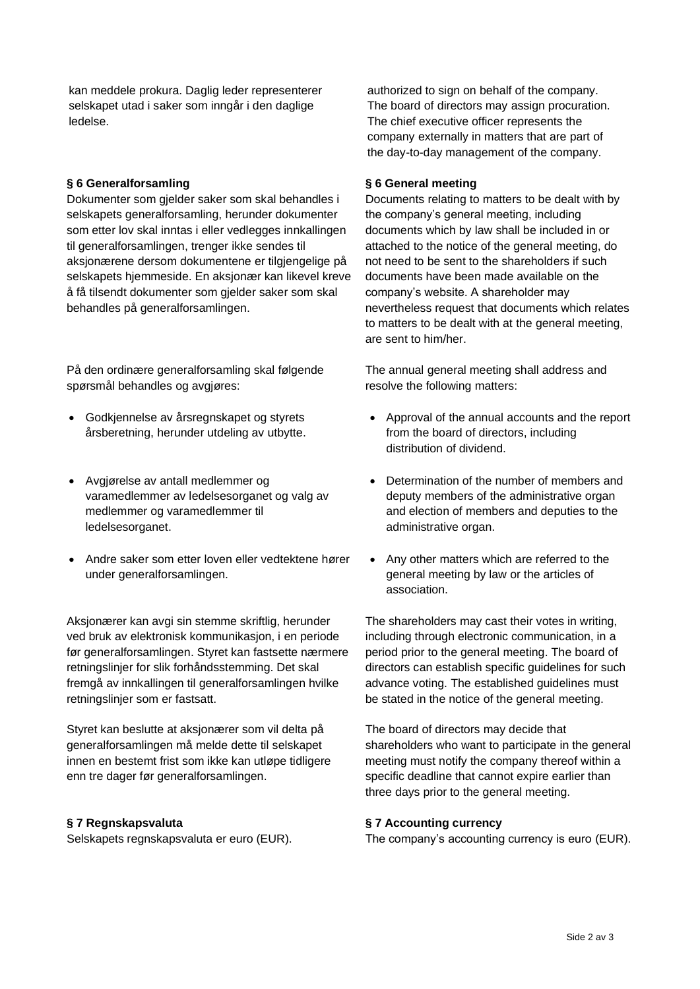kan meddele prokura. Daglig leder representerer selskapet utad i saker som inngår i den daglige ledelse.

#### **§ 6 Generalforsamling**

Dokumenter som gjelder saker som skal behandles i selskapets generalforsamling, herunder dokumenter som etter lov skal inntas i eller vedlegges innkallingen til generalforsamlingen, trenger ikke sendes til aksjonærene dersom dokumentene er tilgjengelige på selskapets hjemmeside. En aksjonær kan likevel kreve å få tilsendt dokumenter som gjelder saker som skal behandles på generalforsamlingen.

På den ordinære generalforsamling skal følgende spørsmål behandles og avgjøres:

- Godkjennelse av årsregnskapet og styrets årsberetning, herunder utdeling av utbytte.
- Avgjørelse av antall medlemmer og varamedlemmer av ledelsesorganet og valg av medlemmer og varamedlemmer til ledelsesorganet.
- Andre saker som etter loven eller vedtektene hører under generalforsamlingen.

Aksjonærer kan avgi sin stemme skriftlig, herunder ved bruk av elektronisk kommunikasjon, i en periode før generalforsamlingen. Styret kan fastsette nærmere retningslinjer for slik forhåndsstemming. Det skal fremgå av innkallingen til generalforsamlingen hvilke retningslinjer som er fastsatt.

Styret kan beslutte at aksjonærer som vil delta på generalforsamlingen må melde dette til selskapet innen en bestemt frist som ikke kan utløpe tidligere enn tre dager før generalforsamlingen.

#### **§ 7 Regnskapsvaluta**

Selskapets regnskapsvaluta er euro (EUR).

authorized to sign on behalf of the company. The board of directors may assign procuration. The chief executive officer represents the company externally in matters that are part of the day-to-day management of the company.

#### **§ 6 General meeting**

Documents relating to matters to be dealt with by the company's general meeting, including documents which by law shall be included in or attached to the notice of the general meeting, do not need to be sent to the shareholders if such documents have been made available on the company's website. A shareholder may nevertheless request that documents which relates to matters to be dealt with at the general meeting, are sent to him/her.

The annual general meeting shall address and resolve the following matters:

- Approval of the annual accounts and the report from the board of directors, including distribution of dividend.
- Determination of the number of members and deputy members of the administrative organ and election of members and deputies to the administrative organ.
- Any other matters which are referred to the general meeting by law or the articles of association.

The shareholders may cast their votes in writing, including through electronic communication, in a period prior to the general meeting. The board of directors can establish specific guidelines for such advance voting. The established guidelines must be stated in the notice of the general meeting.

The board of directors may decide that shareholders who want to participate in the general meeting must notify the company thereof within a specific deadline that cannot expire earlier than three days prior to the general meeting.

## **§ 7 Accounting currency**

The company's accounting currency is euro (EUR).